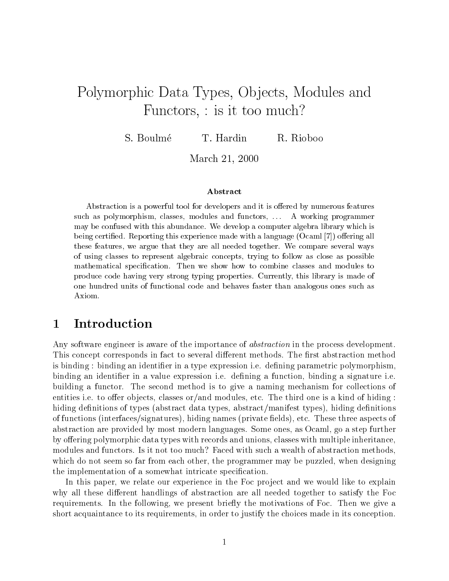# Polymorphic Data Types, Objects, Modules and Functors,  $:$  is it too much?

S. Boulmé T. Hardin R. Rioboo

March - -

### Abstract

Abstraction is a powerful tool for developers and it is offered by numerous features such as polymorphism classes modules and functors --- A working programmer may be confused with this abundance- We develop a computer algebra library which is being certied- Reporting this experience made with a language Ocaml oering all these features we argue that they are all needed together- We compare several ways of using classes to represent algebraic concepts trying to follow as close as possible mathematical specification- is shown to combine classes and modules to compute the modules to combine to and produce code matrix  $\alpha$  very strong typing properties- which is made of the matrix of  $\alpha$ one hundred units of functional code and behaves faster than analogous ones such as Axiom-

# Introduction

Any software engineer is aware of the importance of *abstraction* in the process development. This concept corresponds in fact to several dierent methods The -rst abstraction method is binding binding an identi-er in a type expression ie de-ning parametric polymorphism binding an identi-er in a value expression ie de-ning a function binding a signature ie building a functor. The second method is to give a naming mechanism for collections of entities i.e. to offer objects, classes or/and modules, etc. The third one is a kind of hiding: hiding de-nitions of types abstract data types abstractmanifest types hiding de-nitions of functions interfacessignatures hiding names private -elds etc These three aspects of abstraction are provided by most modern languages Some ones as Ocaml go a step further by offering polymorphic data types with records and unions, classes with multiple inheritance, modules and functors. Is it not too much? Faced with such a wealth of abstraction methods, which do not seem so far from each other, the programmer may be puzzled, when designing the implementation of a somewhat intricate speci-cation

In this paper, we relate our experience in the Foc project and we would like to explain why all these different handlings of abstraction are all needed together to satisfy the Foc requirements. In the following, we present briefly the motivations of Foc. Then we give a short acquaintance to its requirements, in order to justify the choices made in its conception.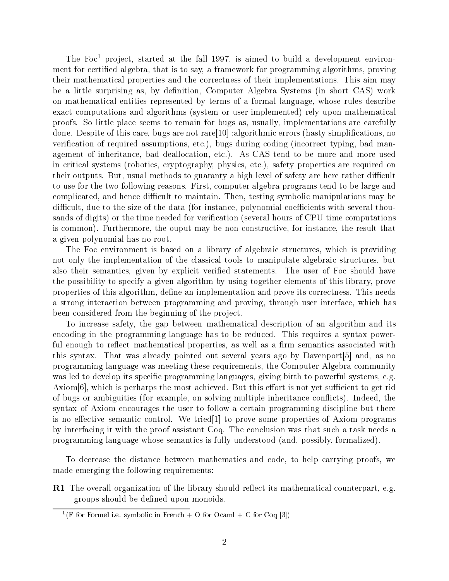The Foct project, started at the fail 1997, is almed to build a development environed algebra that is to say a framework for proving a framework for programming algorithms province  $\alpha$ their mathematical properties and the correctness of their implementations This aim may be a little surprising asby de-nition Computer Algebra Systems in short CAS work on mathematical entities represented by terms of a formal language whose rules describe exact computations and algorithms (system or user-implemented) rely upon mathematical proofs So little place seems to remain for bugs as usually implementations are carefully done Despite of this care bugs are not rare proportions are not reserve the cations of the cation is a complete that veri-cation of required assumptions etc bugs during coding incorrect typing bad man agement of inheritance, bad deallocation, etc.). As CAS tend to be more and more used in critical systems (robotics, cryptography, physics, etc.), safety properties are required on their outputs. But, usual methods to guaranty a high level of safety are here rather difficult to use for the two following reasons. First, computer algebra programs tend to be large and complicated, and hence difficult to maintain. Then, testing symbolic manipulations may be difficult, due to the size of the data (for instance, polynomial coefficients with several thousands of digits or the time needed for veri-cation several hours of CPU time computations is common). Furthermore, the ouput may be non-constructive, for instance, the result that a given polynomial has no root

The Foc environment is based on a library of algebraic structures, which is providing not only the implementation of the classical tools to manipulate algebraic structures, but also the user  $\mathbf{F}$  semantics given by explicit verifies the user of  $\mathbf{F}$ the possibility to specify a given algorithm by using together elements of this library prove properties of this algorithm de- needs the implementation and prove its correction and prove its correction of a strong interaction between programming and proving, through user interface, which has been considered from the beginning of the project

To increase safety, the gap between mathematical description of an algorithm and its encoding in the programming language has to be reduced. This requires a syntax powerful enough to react mathematical properties as well as well as  $\mathbb{R}^n$ this syntax. That was already pointed out several years ago by Davenport  $[5]$  and, as no programming language was meeting these requirements the Computer Algebra community was led to develop its specification programming its specification is powerful systems equations of  $\mathcal{A}^{\mathcal{A}}$  $\alpha$  Axiom  $[6]$ , which is perharps the most achieved. But this effort is not yet sufficient to get rid of bugs or ambiguities (for example, on solving multiple inheritance conflicts). Indeed, the syntax of Axiom encourages the user to follow a certain programming discipline but there is no eective semantic control We tried to prove some properties of Axiom programs by interfacing it with the proof assistant Coq. The conclusion was that such a task needs a programming language whose semantics is fully understood (and, possibly, formalized).

To decrease the distance between mathematics and code, to help carrying proofs, we made emerging the following requirements

**R1** The overall organization of the library should reflect its mathematical counterpart, e.g. arranger show and upon monoids and upon monoids and all

 $\lceil$  for Former i.e. symbolic in French  $+$  O for Ocami  $+$  O for Ocq  $\lceil$ ə $\rceil$ )  $\lceil$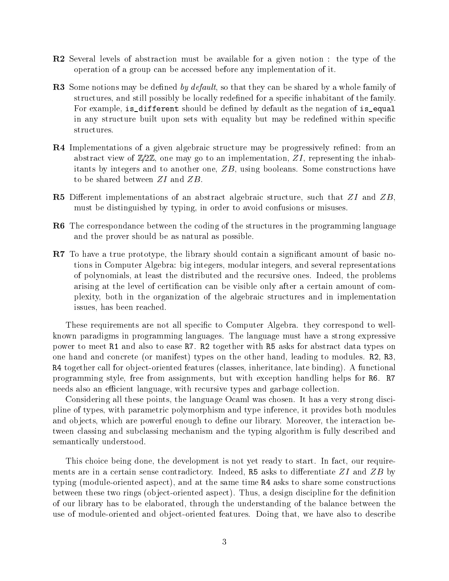- **R2** Several levels of abstraction must be available for a given notion : the type of the operation of a group can be accessed before any implementation of it
- re sources motions many at default so that they can be shared by a whole family of the shared parameters of structures and still possibly be locally rede-ned for a speci-c inhabitant of the family For example isdifferent should be de-ned by default as the negation of isequal in any structure built upon sets with equality but may be rede-ned within speci-c structures
- R Implementations of a given algebraic structure may be progressively re-ned from an abstract view of  $\mathbb{Z}/2\mathbb{Z}$ , one may go to an implementation, ZI, representing the inhabitants by integers and to another one,  $ZB$ , using booleans. Some constructions have to be shared between ZI and ZB
- **R5** Different implementations of an abstract algebraic structure, such that  $ZI$  and  $ZB$ , must be distinguished by typing, in order to avoid confusions or misuses.
- R6 The correspondance between the coding of the structures in the programming language and the prover should be as natural as possible
- R To have a true prototype the library should contain a signi-cant amount of basic no tions in Computer Algebra: big integers, modular integers, and several representations of polynomials at least the distributed and the recursive ones Indeed the problems arising at the level of certain and be visible only after a certain amount of comparison and  $\alpha$ plexity both in the organization of the algebraic structures and in implementation issues, has been reached.

These requirements are not all speci-c to Computer Algebra they correspond to well known paradigms in programming languages The language must have a strong expressive power to meet R and also to ease R- R together with R asks for abstract data types on one hand and concrete (or manifest) types on the other hand, leading to modules. R2, R3, r together call for observed from the features in the function  $\alpha$  functional functional  $\alpha$  functional functional functional functional functional functional function of the function of the function of the function of t programming style, free from assignments, but with exception handling helps for R6. R7 needs also an efficient language, with recursive types and garbage collection.

Considering all these points, the language Ocaml was chosen. It has a very strong discipline of types with parametric polymorphism and type inference it provides both modules and ob jects which are powerful enough to de-ne our library Moreover the interaction be tween classing and subclassing mechanism and the typing algorithm is fully described and semantically understood

This choice being done, the development is not yet ready to start. In fact, our requirements are in a certain sense contradictory. Indeed, R5 asks to differentiate  $ZI$  and  $ZB$  by typing (module-oriented aspect), and at the same time R4 asks to share some constructions between these two rings ob ject
oriented aspect Thus a design discipline for the de-nition of our library has to be elaborated, through the understanding of the balance between the use of module
oriented and object
oriented features Doing that we have also to describe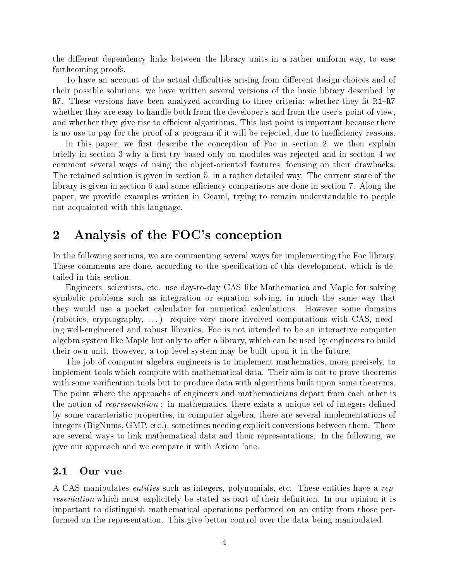the different dependency links between the library units in a rather uniform way, to ease forthcoming proofs

To have an account of the actual difficulties arising from different design choices and of their possible solutions, we have written several versions of the basic library described by R- These versions have been analyzed according to three criteria whether they -t RRwhether they are easy to handle both from the developer's and from the user's point of view. and whether they give rise to efficient algorithms. This last point is important because there is no use to pay for the proof of a program if it will be rejected, due to inefficiency reasons.

In this paper we -rst describe the conception of Foc in section we then explain rst try in section where we are the section of the section and in section was rejected and in section was refer comment several ways of using the object-oriented features, focusing on their drawbacks. The retained solution is given in section 5, in a rather detailed way. The current state of the library is given in section  $6$  and some efficiency comparisons are done in section  $7$ . Along the paper, we provide examples written in Ocaml, trying to remain understandable to people not acquainted with this language

# and the FOC-state of the FOC-state of the FOC-state of the FOC-state of the FOC-state of the FOC-state of the F

In the following sections, we are commenting several ways for implementing the Foc library. These comments are done according to this development which is development which is development which is development which is development which is development which is development which is development which is development tailed in this section

Engineers, scientists, etc. use day-to-day CAS like Mathematica and Maple for solving symbolic problems such as integration or equation solving, in much the same way that they would use a pocket calculator for numerical calculations. However some domains (robotics, cryptography,  $\ldots$ ) require very more involved computations with CAS, needing well
engineered and robust libraries Foc is not intended to be an interactive computer algebra system like Maple but only to offer a library, which can be used by engineers to build their own unit However a top
level system may be built upon it in the future

The job of computer algebra engineers is to implement mathematics, more precisely, to implement tools which compute with mathematical data. Their aim is not to prove theorems with some verified tools but tools built upon some verified algorithms built upon some that with algorithms built upon some that with algorithms built upon some that with algorithms built upon some that with a second contr The point where the approachs of engineers and mathematicians depart from each other is the notion of representation in mathematics there exists a unique set of integers de-ned by some caracteristic properties in computer algebra there are several implementations of integers (BigNums, GMP, etc.), sometimes needing explicit conversions between them. There are several ways to link mathematical data and their representations. In the following, we give our approach and we compare it with Axiom 'one.

#### $2.1\,$ Our vue

A CAS manipulates *entities* such as integers, polynomials, etc. These entities have a representation which must explicit must be stated as part of the theoretical decomposition in opinion it is in our important to distinguish mathematical operations performed on an entity from those per formed on the representation. This give better control over the data being manipulated.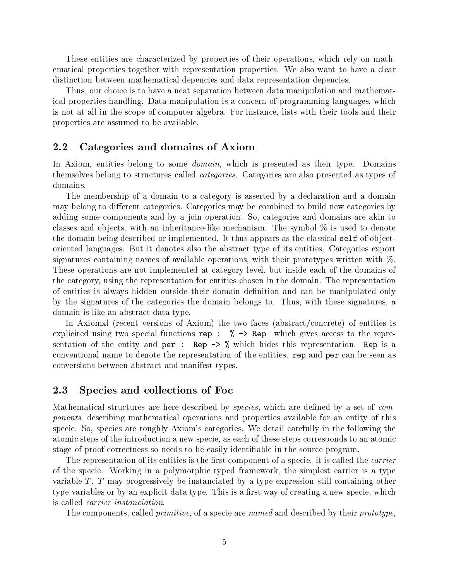These entities are characterized by properties of their operations, which rely on mathematical properties together with representation properties. We also want to have a clear distinction between mathematical depencies and data representation depencies

Thus, our choice is to have a neat separation between data manipulation and mathematical properties handling. Data manipulation is a concern of programming languages, which is not at all in the scope of computer algebra. For instance, lists with their tools and their properties are assumed to be available

### 2.2 Categories and domains of Axiom

In Axiom, entities belong to some *domain*, which is presented as their type. Domains themselves belong to structures called categories Categories are also presented as types of domains

The membership of a domain to a category is asserted by a declaration and a domain may belong to different categories. Categories may be combined to build new categories by adding some components and by a join operation. So, categories and domains are akin to classes and objects, with an inheritance-like mechanism. The symbol  $\%$  is used to denote the domain being described or implemented. It thus appears as the classical self of objectoriented languages But it denotes also the abstract type of its entities Categories export signatures containing names of available operations, with their prototypes written with  $\%$ . These operations are not implemented at category level, but inside each of the domains of the category using the representation for entities chosen in the domain The representation of entities is always hidden outside their domain de-nition and can be manipulated only by the signatures of the categories the domain belongs to. Thus, with these signatures, a domain is like an abstract data type

In Axiomxl (recent versions of Axiom) the two faces (abstract/concrete) of entities is explicited using two special functions represents to the representations of the representations of the representations of the representations of the representations of the representations of the representations of the repr sentation of the entity and per **i** replace the computer of the entity of the entity of the entity and performance conventional name to denote the representation of the entities rep and per can be seen as conversions between abstract and manifest types

## 2.3 Species and collections of Foc

Mathematical structures are here described by species which are de-ned by a set of com ponents describing mathematical operations and properties available for an entity of this specie. So, species are roughly Axiom's categories. We detail carefully in the following the atomic steps of the introduction a new specie as each of these steps corresponds to an atomic stage of proof correctness so needs to be easily identi-able in the source program

The representation of its entities is the -rst component of a specie it is called the carrier of the specie Working in a polymorphic typed framework the simplest carrier is a type variable  $T$ . T may progressively be instanciated by a type expression still containing other type variables or by an explicit data type This is a -rst way of creating a new specie which is called carrier instanciation

The components, called *primitive*, of a specie are *named* and described by their *prototype*,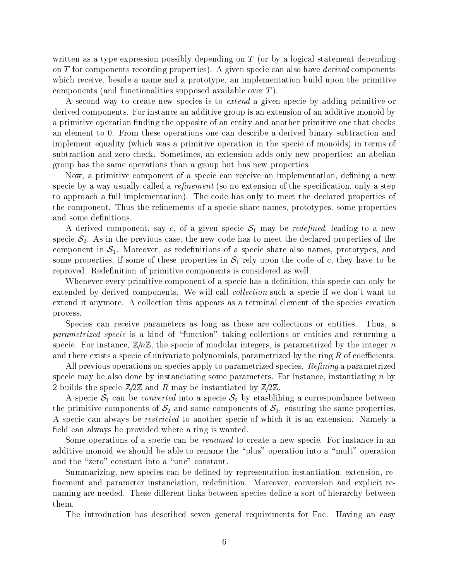written as a type expression possibly depending on  $T$  (or by a logical statement depending on  $T$  for components recording properties). A given specie can also have *derived* components which receive, beside a name and a prototype, an implementation build upon the primitive components (and functionalities supposed available over  $T$ ).

A second way to create new species is to extend a given specie by adding primitive or derived components. For instance an additive group is an extension of an additive monoid by a primitive operation -nding the opposite of an entity and another primitive one that checks an element to 0. From these operations one can describe a derived binary subtraction and implement equality (which was a primitive operation in the specie of monoids) in terms of subtraction and zero check. Sometimes, an extension adds only new properties: an abelian group has the same operations than a group but has new properties

Now a primitive component of a specie can receive an implementation de-ning a new specie byaway usually called a renement so no extension of the speci-cation only a step to approach a full implementation). The code has only to meet the declared properties of the component Thus the re-nements of a specie share names prototypes some properties

A derived component, say c, of a given specie  $S_1$  may be *redefined*, leading to a new specie  $S_2$ . As in the previous case, the new code has to meet the declared properties of the component in S Moreover as rede-component in S Moreover and prototypes and also names prototypes and moreover some properties, if some of these properties in  $S_1$  rely upon the code of c, they have to be reproved Rede-nition of primitive components is considered aswell

Whenever every primitive component of a specie has a de-nition this specie can only be extended by derived components. We will call *collection* such a specie if we don't want to extend it anymore. A collection thus appears as a terminal element of the species creation process

Species can receive parameters as long as those are collections or entities. Thus, a parametrized specie is a kind of "function" taking collections or entities and returning a specie. For instance,  $\mathbb{Z}/n\mathbb{Z}$ , the specie of modular integers, is parametrized by the integer n and there exists a specie of univariate polynomials, parametrized by the ring  $R$  of coefficients.

All previous operations on species apply to parametrized species.  $Refining$  a parametrized specie may be also done by instanciating some parameters. For instance, instantiating n by 2 builds the specie  $\mathbb{Z}/2\mathbb{Z}$  and R may be instantiated by  $\mathbb{Z}/2\mathbb{Z}$ .

A specie  $S_1$  can be *converted* into a specie  $S_2$  by etasblihing a correspondance between the primitive components of  $S_2$  and some components of  $S_1$ , ensuring the same properties. A specie can always be *restricted* to another specie of which it is an extension. Namely a -eld can always be provided where a ring is wanted

Some operations of a specie can be *renamed* to create a new specie. For instance in an additive monoid we should be able to rename the "plus" operation into a "mult" operation and the "zero" constant into a "one" constant.

Summarizing new species can be de-ned by representation instantiation extension re -nement and parameter instanciation rede-nition Moreover conversion and explicit re naming are needed These dierent links between species de-ne a sort of hierarchy between them

The introduction has described seven general requirements for Foc. Having an easy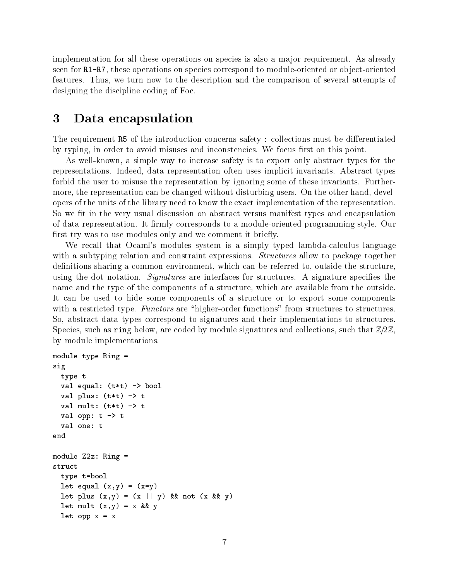implementation for all these operations on species is also a major requirement. As already seen for RR- these operations on species correspond to module
oriented or ob ject
oriented features. Thus, we turn now to the description and the comparison of several attempts of designing the discipline coding of Foc

#### 3 Data encapsulation

The requirement R5 of the introduction concerns safety : collections must be differentiated by typing in order to avoid misuses and inconstencies We focus -rst on this point

As well-known, a simple way to increase safety is to export only abstract types for the representations. Indeed, data representation often uses implicit invariants. Abstract types forbid the user to misuse the representation by ignoring some of these invariants. Furthermore, the representation can be changed without disturbing users. On the other hand, developers of the units of the library need to know the exact implementation of the representation so we allow the very usual discussion on abstract the substract types and encapsulation on abstract the contract of of data representation It -rmly corresponds to a module
oriented programming style Our -rst try was to use modules only and we comment it brie y

We recall that Ocaml's modules system is a simply typed lambda-calculus language with a subtyping relation and constraint expressions. *Structures* allow to package together de-nitions sharing a common environment which can be referred to outside the structure  $\mathbf{d}$ using the dot notation Signatures are interfaces for structures A signature speci-es the name and the type of the components of a structure, which are available from the outside. It can be used to hide some components of a structure or to export some components with a restricted type. Functors are "higher-order functions" from structures to structures. So, abstract data types correspond to signatures and their implementations to structures. Species, such as ring below, are coded by module signatures and collections, such that  $\mathbb{Z}/2\mathbb{Z}$ , by module implementations

```
module type Ring 
sig
      type t
       val et al. et al. et al. et al. et al. et al. et al. et al. et al. et al. et al. et al. et al. et al. et al. e
       val plus terminale plus terminale plus terminale plus terminale plus terminale plus terminale plus terminale p
       \mathbf{v} to the total multiplier of the transformation of the transformation \mathbf{v}val opp: t \rightarrow tval one: t
end
module Z2z: Ring =
struct
      type t = bool\mathbf{v} . \mathbf{v} . \mathbf{v} . \mathbf{v} . \mathbf{v}\mathbf{r} , \mathbf{r} , \mathbf{r} , \mathbf{r} , \mathbf{r} , \mathbf{r} , \mathbf{r} , \mathbf{r} , \mathbf{r} , \mathbf{r} , \mathbf{r} , \mathbf{r} , \mathbf{r} , \mathbf{r} , \mathbf{r} , \mathbf{r} , \mathbf{r} , \mathbf{r} , \mathbf{r} , \mathbf{r} , \mathbf{x} and \mathbf{x} and \mathbf{x} and \mathbf{x} and \mathbf{x} and \mathbf{x} and \mathbf{x} and \mathbf{x} and \mathbf{x} and \mathbf{x} and \mathbf{x} and \mathbf{x} and \mathbf{x} and \mathbf{x} and \mathbf{x} and \mathbf{x} and \mathbf{x} and \mathbf{x} and \mathbf{xlet opp x = x
```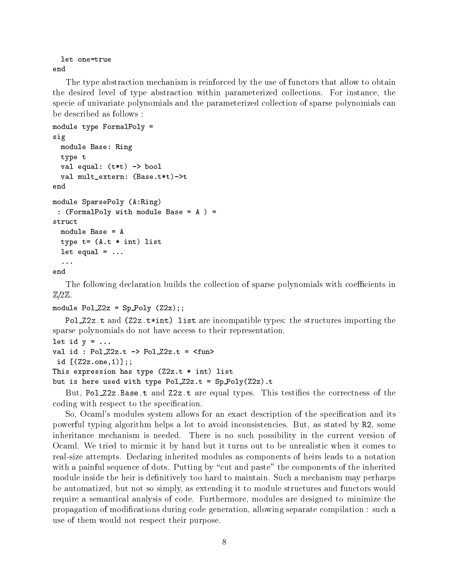```
let one=true
end
```
The type abstraction mechanism is reinforced by the use of functors that allow to obtain the desired level of type abstraction within parameterized collections. For instance, the specie of univariate polynomials and the parameterized collection of sparse polynomials can be described as follows

```
module type FormalPoly 
sig
  module Base: Ring
  type t
   val equal of the bool of the bool of the bool of the bool of the bool of the bool of the bool of the bool of t
   val multextern -
Basettt
end
module Sparse Service (Service Sparse)
  -
FormalPoly with module Base  A  
struct
  module Base = Athe term of the contract of the contract of the contract of the contract of the contract of the contract of th
  let equal = ...\ddotsc
```
The following declaration builds the collection of sparse polynomials with coefficients in  $\mathbb{Z}/2\mathbb{Z}$ .

```
module Poly - Poly - Poly - Poly - Poly - Poly - Poly - Poly - Poly - Poly - Poly - Poly - Poly - Poly - Poly
```
. When the compatible through the structure incompatible the structure of the structure importance in the structure sparse polynomials do not have access to their representation

```
let id y = \ldotsval id : PolZ2z.t \rightarrow PolZ2z.t = \langle fun \rangleid -
Zzone

the state form in the state of the state of the state of the state of the state of the state of the state of t
but is here used with type \mathbf{F} . The contribution of \mathbf{F} and \mathbf{F} are the contribution of \mathbf{F}
```
But, Political Politic City are equal types. This testical the correction of the correct  $\mathcal{L}_\mathbf{z}$ coding with respect to the special control of the special control of the special control of the special control of the special control of the special control of the special control of the special control of the special con

So Ocamls modules system allows for an exact description of the speci-cation and its powerful typing algorithm helps a lot to avoid inconsistencies. But, as stated by R2, some inheritance mechanism is needed. There is no such possibility in the current version of Ocaml We tried to micmic it by hand but it turns out to be unrealistic when it comes to real
size attempts Declaring inherited modules as components of heirs leads to a notation with a painful sequence of dots. Putting by "cut and paste" the components of the inherited module inside the heir is de-module to maintain Such a mechanism may perform material may perharps to make be automatized, but not so simply, as extending it to module structures and functors would require a semantical analysis of code. Furthermore, modules are designed to minimize the propagation of modifications during code generations allowing separate compilation separate code allowing separate co use of them would not respect their purpose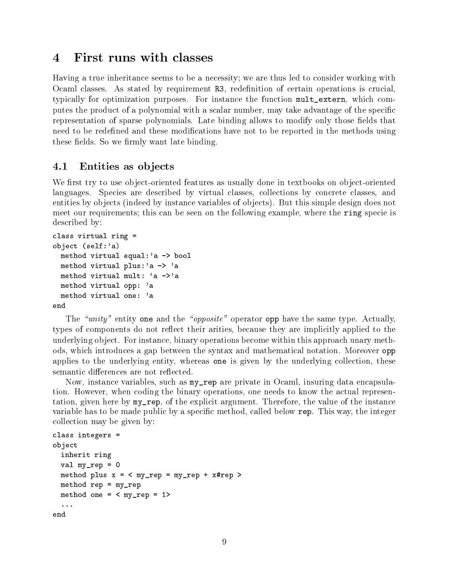#### First runs with classes  $\boldsymbol{\Lambda}$

Having a true inheritance seems to be a necessity; we are thus led to consider working with Ocami classes I in stated by reduitment R redeficient Complete and Containing operations is crucial typically for optimization purposes. For instance the function multeriation, which computes the product of a polynomial with a scalar number, may take advantage of the specific representation of sparse polynomials Late binding allows to modify only those -elds that need to be rede-these modi-to-be reported in the modification in the methods using the methods using the method these - elds So we - elds So we - elds So we - elds So we - elds So we - elds So we - elds So we - elds So we

# Entities as objects

We -rst try to use ob ject
oriented features as usually done in textbooks on ob ject
oriented languages. Species are described by virtual classes, collections by concrete classes, and entities by objects (indeed by instance variables of objects). But this simple design does not meet our requirements; this can be seen on the following example, where the ring specie is described by

```
class virtual ring 
se je se velese selfa selfa selfa selfa selfa selfa selfa selfa selfa selfa selfa selfa selfa selfa selfa self
  method virtual equal: a \rightarrow bool
  method virtual plus: a \rightarrow 'amethod virtual mult: a \rightarrow amethod virtual opp: 'a
  method virtual one: aend
```
The - unity one and the - opposite opposite opposite oppy the - opposite and the same type  $\sim$  - operator  $\mu$ types of components do not reflect their arities, because they are implicitly applied to the underlying object. For instance, binary operations become within this approach unary methods, which introduces a gap between the syntax and mathematical notation. Moreover opp applies to the underlying entity, whereas one is given by the underlying collection, these semantic differences are not reflected.

Now, instance variables, such as  $my\_rep$  are private in Ocaml, insuring data encapsulation. However, when coding the binary operations, one needs to know the actual representation, given here by  $my_{rep}$ , of the explicit argument. Therefore, the value of the instance variable has to be made public by a specific below replaced by a specific below replaced by public below  $\Delta$  the integer collection may be given by

```
class integers 
object
  inherit ring
  val my rep = 0method plus x = \langle my_{rep} = my_{rep} + x\#rep \ranglemethod rep = my_{rep}method one = < my_rep = 1>
  \ddotsc .
end
```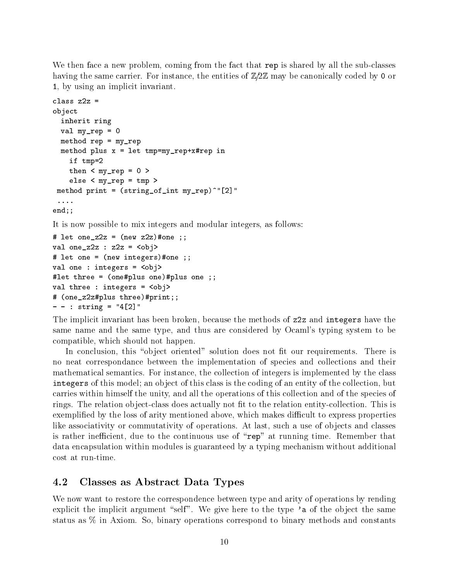We then face a new problem, coming from the fact that rep is shared by all the sub-classes having the same carrier. For instance, the entities of  $\mathbb{Z}/2\mathbb{Z}$  may be canonically coded by 0 or 1, by using an implicit invariant.

```
class z2z =object
   inherit ring
   val my_{rep} = 0method rep = my_repmethod plus x = let tmp=my_rep+x#rep in
       if tmp
       then < my_rep = 0 >
       else < my_rep = tmpmethod print is the property myrephylic myrephylic and the property of the property of the property of the property of the property of the property of the property of the property of the property of the property of the pro
  \ldots .
end;;
```
It is now possible to mix integers and modular integers, as follows:

```
let onez  - new zonez  - new zonez  - new zonez  - new zonez  - new zonez  - new zonez  - new zonez  - new zo
val one_z2z : z2z = \langle obj \ranglenew integration of the contract of the contract of the contract of the contract of the contract of the contract of the contract of the contract of the contract of the contract of the contract of the contract of the contrac
val one : integers = 
let three  -
oneplus oneplus one 

val three : integers = 
 -
onezzplus threeprint

- - : string = "4[2]
```
The implicit invariant has been broken, because the methods of z2z and integers have the same name and the same type, and thus are considered by Ocaml's typing system to be compatible, which should not happen.

In conclusion this ob ject oriented solution does not -t our requirements There is no neat correspondance between the implementation of species and collections and their mathematical semantics. For instance, the collection of integers is implemented by the class integrate the this model and object of this class is the coding of an entity of the coding of the collection bu carries within himself the unity and all the operations of this collection and of the species of rings The relation ob ject
class does actually not -t to the relation entity
collection This is exemplates the loss of arithmetic mentioned above which mentioned above which makes the express properties of like associativity or commutativity of operations. At last, such a use of objects and classes is rather inefficient, due to the continuous use of "rep" at running time. Remember that data encapsulation within modules is guaranteed by a typing mechanism without additional cost at run-time.

#### $4.2$ Classes as Abstract Data Types

We now want to restore the correspondence between type and arity of operations by rending explicit the implicit argument "self". We give here to the type 'a of the object the same status as  $\%$  in Axiom. So, binary operations correspond to binary methods and constants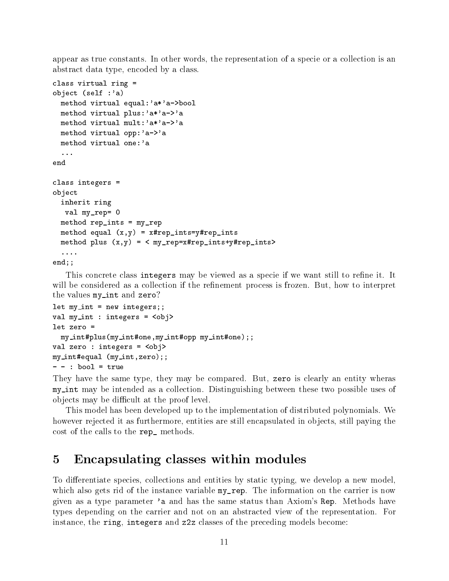appear as true constants. In other words, the representation of a specie or a collection is an abstract data type, encoded by a class.

```
class virtual ring 
object -
self a
   method virtual equal: 'a*'a->bool
   method virtual plus: a * a \rightarrow amethod virtual mult:a * a - amethod virtual opp:a - ya
   method virtual one:'a
   \ldotsend
class integers 
object
   inherit ring
    val my_{rep}=0method rep_ints = my_{rep}x \mapsto xy and x \mapsto x and x \mapsto x and x \mapsto x and x \mapsto x and x \mapsto x and x \mapsto x and x \mapsto x and x \mapsto x and x \mapsto x and x \mapsto x and x \mapsto x and x \mapsto x and x \mapsto x and x \mapsto x and x \mapsto x and x \mapsto x and x \mapsto x and x \mapmethod plus -
xy   myrepxrepintsyrepints
   \sim 100
```
end;;

This concrete concrete this concrete many be viewed as a specie if we want still to remain the rewill be considered as a considered in the re-mention process is frozen But how to interprettion  $\mathcal{L}$ the values my\_int and zero?

```
let my_int = new integers;;
val my_int : integers = 
let zero 
  my intplus-
my intonemy intopp my intone

val zero : integers = 
my interest in the matrix of \sim my interest interest in the matrix \sim
```
They have the same type, they may be compared. But, zero is clearly an entity wheras my int may be intended as <sup>a</sup> collection Distinguishing between these two possible uses of objects may be difficult at the proof level.

This model has been developed up to the implementation of distributed polynomials We however rejected it as furthermore, entities are still encapsulated in objects, still paying the cost of the calls to the rep<sub>reficiencie</sub>.

#### Encapsulating classes within modules  $\mathbf{5}$

To differentiate species, collections and entities by static typing, we develop a new model, which also gets rid of the instance variable  $my_{\text{rep}}$ . The information on the carrier is now given as a type parameter 'a and has the same status than Axiom's Rep. Methods have types depending on the carrier and not on an abstracted view of the representation. For instance, the ring, integers and z2z classes of the preceding models become: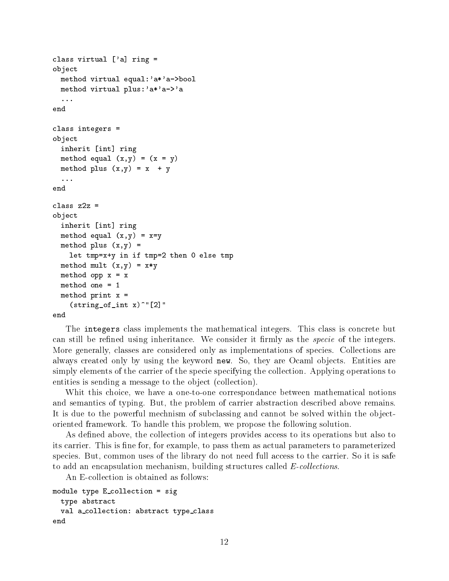```
class virtual ['a] ring =
object
  method virtual equal: a* a->bool
  method virtual plus: 'a*'a->'a
  \mathbf{1}end
class integers 
object
  inherit [int] ring
   method equal x \rightarrow y + z . The set of \mathcal{L}method is the plus of the plus of the plus of the plus of the plus of the plus of the plus of the plus of the
  \sim \sim \simclass z2z =object
  inherit [int] ring
   method equal -
xy  xy
   method plus - xystem - xystem - xystem - xystem - xystem - xystem - xystem - xystem - xystem - xystem - xystem
     let tmp=x+y in if tmp=2 then 0 else tmp
   \mathbf x \sim \mathbf x \sim \mathbf xmethod opp x = xmethod one  
  method print x =-
stringofint x
```
end

The integers class implements the mathematical integers. This class is concrete but can still be re-ned using inheritance We consider it -rmly as the specie of the integers More generally, classes are considered only as implementations of species. Collections are always created only by using the keyword new. So, they are Ocaml objects. Entities are simply elements of the carrier of the specie specifying the collection Applying operations to entities is sending a message to the object (collection).

Whit this choice, we have a one-to-one correspondance between mathematical notions and semantics of typing. But, the problem of carrier abstraction described above remains. It is due to the powerful mechnism of subclassing and cannot be solved within the object oriented framework. To handle this problem, we propose the following solution.

As de-ned above the collection of integers provides access to its operations but also to its carrier This is -ne for for example to pass them as actual parameters to parameterized species. But, common uses of the library do not need full access to the carrier. So it is safe to add an encapsulation mechanism, building structures called  $E$ -collections.

An E-collection is obtained as follows:

```
module type E_{\text{collection}} = sigtype abstract
  val a_collection: abstract type_class
end
```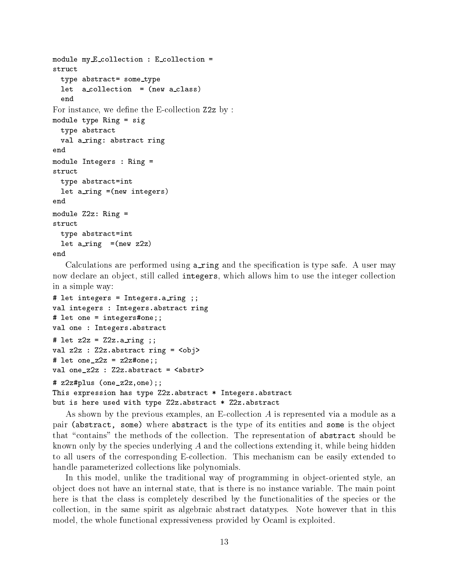```
module my\_E_{\text{collection}} : E_collection =
struct
   type abstract= some_type
    let a collection and a collection of the collection and a collection of the collection of the collection of the
    end
For instance we de-
ne the E
collection Zz by 
module type Ring = sigtype abstract
   val a_ring: abstract ring
end
module Integers : Ring =struct
   type abstract=int
    let a ring a ring of the ring of the second contract of the contract of the second contract of the second contract of the second contract of the second contract of the second contract of the second contract of the second c
end
module Z2z: Ring =
struct
   type abstract=int
    <u>a ring and the set and the set and the set and the set and the set and the set and the set and the set and the </u>
end
```
calculations are performed using and the specification is the specific and the specific  $\sim$ now declare an object, still called integers, which allows him to use the integer collection in a simple way

```
# let integers = Integers.a_ring ;;
val integers : Integers.abstract ring
# let one = integers#one;;
val one : Integers.abstract
# let z2z = 22z \cdot a\text{ ring };
val z2z : Z2z abstract ring = \langleobj>
# let one_z2z = z2z#one;;
val one_z2z : Z2z.abstract = \langle abstr \rangleza e contra contra la contra la contra la contra la contra la contra la contra la contra la contra la contra l
This expression has type Z2z abstract * Integers abstract
but is here used with type Z2z. abstract * Z2z. abstract
```
As shown by the previous examples, an E-collection  $A$  is represented via a module as a pair (abstract, some) where abstract is the type of its entities and some is the object that "contains" the methods of the collection. The representation of abstract should be known only by the species underlying  $A$  and the collections extending it, while being hidden to all users of the corresponding E-collection. This mechanism can be easily extended to handle parameterized collections like polynomials

In this model, unlike the traditional way of programming in object-oriented style, an object does not have an internal state, that is there is no instance variable. The main point here is that the class is completely described by the functionalities of the species or the collection, in the same spirit as algebraic abstract datatypes. Note however that in this model, the whole functional expressiveness provided by Ocaml is exploited.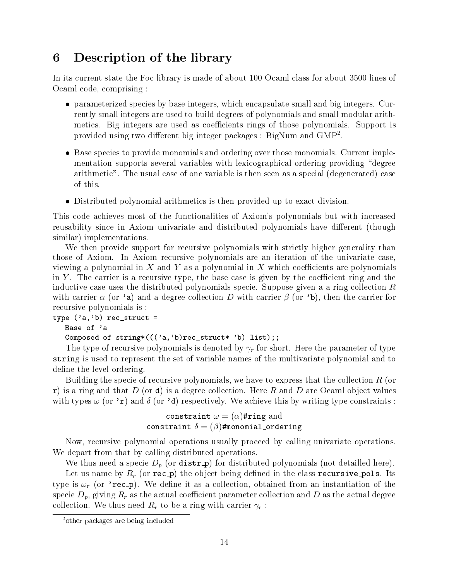#### Description of the library 6

In its current state the Foc library is made of about  $\mathcal{M}$  about  $\mathcal{M}$ Ocaml code, comprising:

- parameterized species by base integers, which encapsulate small and big integers. Currently small integers are used to build degrees of polynomials and small modular arith metics. Big integers are used as coefficients rings of those polynomials. Support is provided using two different big integer packages : Diginum and GMP .
- Base species to provide monomials and ordering over those monomials. Current implementation supports several variables with lexicographical ordering providing "degree arithmetic". The usual case of one variable is then seen as a special (degenerated) case of this
- Distributed polynomial arithmetics is then provided up to exact division.

This code achieves most of the functionalities of Axiom's polynomials but with increased reusability since in Axiom univariate and distributed polynomials have different (though similar) implementations.

We then provide support for recursive polynomials with strictly higher generality than those of Axiom. In Axiom recursive polynomials are an iteration of the univariate case, viewing a polynomial in X and Y as a polynomial in X which coefficients are polynomials in Y. The carrier is a recursive type, the base case is given by the coefficient ring and the inductive case uses the distributed polynomials specie. Suppose given a a ring collection  $R$ with carrier or  $\mu$  and  $\mu$  and a degree collection  $D$  with carrier  $\mu$  and  $\mu$  the carrier form  $\mu$ recursive polynomials is

```
type - ab reconcerned and reconcerned about the set of the set of the set of the set of the set of the set of
```
| Base of 'a

- abrecstruct b list b list b list b list b list b list b list b list b list b list b list b list b list b lis

The type of recursive polynomials is denoted by  $\gamma_r$  for short. Here the parameter of type string isused to represent the set of variable names of the multivariate polynomial and to de-level order in the level of the level of the level of the level of the level of the level of the level of the level of the level of the level of the level of the level of the level of the level of the level of the level

Building the specie of recursive polynomials, we have to express that the collection  $R$  (or r) is a ring and that D (or d) is a degree collection. Here R and D are Ocaml object values with types  $\omega$  (or '**r**) and  $\delta$  (or '**d**) respectively. We achieve this by writing type constraints:

$$
\begin{array}{c} \texttt{constraint} \; \omega = (\alpha) \texttt{\#ring} \; \text{and} \\ \texttt{constraint} \; \delta = (\beta) \texttt{\#monomial\_ordering} \end{array}
$$

Now, recursive polynomial operations usually proceed by calling univariate operations. We depart from that by calling distributed operations.

We thus need a specie  $D_p$  (or distr<sub>p</sub>) for distributed polynomials (not detailled here).

Let us name by Rr (or Fee P) and object being defined in the class FeedLeD Prepare for type is recorded the property with its collection of the collection of the collection of the collection of the collection of the collection of the collection of the collection of the collection of the collection of the col specie  $D_p$ , giving  $R_r$  as the actual coefficient parameter collection and D as the actual degree collection. We thus need  $R_r$  to be a ring with carrier  $\gamma_r$ :

<sup>&</sup>lt;sup>2</sup>other packages are being included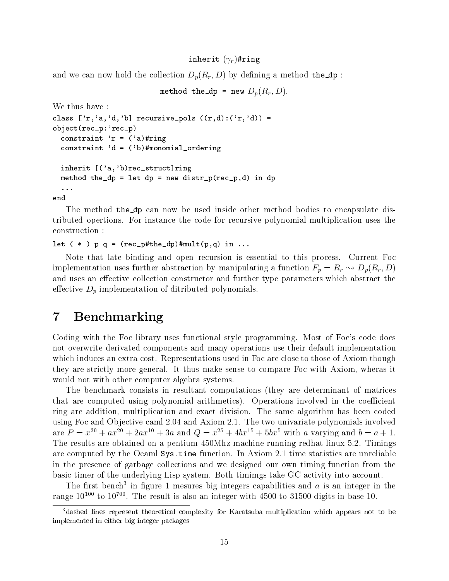### $\blacksquare$ inherit rring rring research in the set of  $\blacksquare$

and we can now hold the collection  $\mathbf{D}_\theta$   $\mathbf{D}_\theta$  by defining a method the  $\mathbf{D}_\theta$ 

```
method the department of p_1 + p_2 , p_3
```

```
We thus have 
rd-Articles - recursive - recursive - recursive - recursive - recording - recording - recording - recording - 
object-bend and contract the contract of the contract of the contract of the contract of the contract of the contract of the contract of the contract of the contract of the contract of the contract of the contract of the c
     constraint relationship in the constraint relation of the constraints of the constraints of the constraints of
     constraint d  -
bmonomialordering
     in heritage and about the contractor of the contractor of the contractor of the contractor of the contractor o
     method the support of the second in details and the second in details are the second in details and the second
     \dddot{\phantom{0}}
```
end

The method the dp can now be used inside other method bodies to encapsulate distributed opertions For instance the code for recursive polynomial multiplication uses the construction

```
let -
   p q  -
recpthedpmult-
pq in
```
Note that late binding and open recursion is essential to this process. Current Foc implementation uses further abstraction by manipulating a function  $F_p = R_r \rightarrow D_p(R_r, D)$ and uses an effective collection constructor and further type parameters which abstract the effective  $D_p$  implementation of ditributed polynomials.

# 7 Benchmarking

Coding with the Foc library uses functional style programming. Most of Foc's code does not overwrite derivated components and many operations use their default implementation which induces an extra cost. Representations used in Foc are close to those of Axiom though they are strictly more general. It thus make sense to compare Foc with Axiom, wheras it would not with other computer algebra systems.

The benchmark consists in resultant computations (they are determinant of matrices that are computed using polynomial arithmetics). Operations involved in the coefficient ring are addition, multiplication and exact division. The same algorithm has been coded using Foc and Ob jective caml and Axiom The two univariate polynomials involved are  $P = x_+ + ax_+ + 2ax_+ + 3a$  and  $Q = x_+ + 4bx_+ + 3bx_+$  with a varying and  $b = a + 1$ . The results are obtained on a pentium 450Mhz machine running redhat linux 5.2. Timings are computed by the Ocamin Systime function in Axiom In Axiom In Axiom In Axiom In Axiom In Axiom In Axiom In in the presence of garbage collections and we designed our own timing function from the basic timer of the underlying Lisp system. Both timimgs take GC activity into account.

The  $\overline{n}$  bench- in figure 1 mesures big integers capabilities and  $a$  is an integer in the  $r_{\rm{a}}$  range to  $r_{\rm{u}}$  to to  $r_{\rm{u}}$  . The result is also an integer with  $4500$  to  $51500$  digits in base to.

<sup>-</sup>dashed lines represent theoretical complexity for Karatsuba multiplication which appears not to be implemented in either big integer packages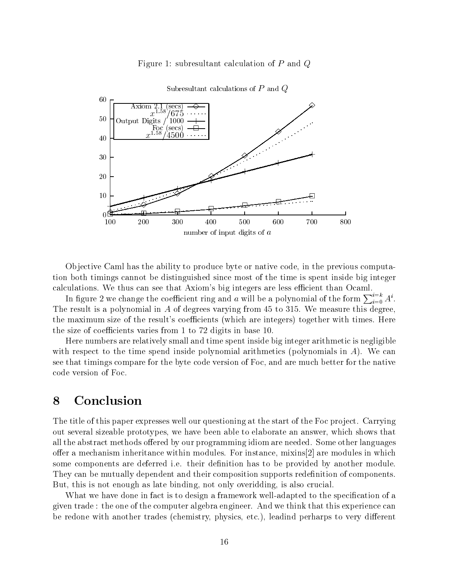



Subresultant calculations of  $P$  and  $Q$ 

Objective Caml has the ability to produce byte or native code, in the previous computation both timings cannot be distinguished since most of the time is spent inside big integer calculations. We thus can see that Axiom's big integers are less efficient than Ocaml.

In figure 2 we change the coefficient ring and a will be a polynomial of the form  $\sum_{i=0}^{n} A^i$ . In figure 2 we change the coefficient ring and a wiff be a polynomial of the form  $\sum_{i=0} A$ .<br>The result is a polynomial in A of degrees varying from 45 to 315. We measure this degree, the maximum size of the result's coefficients (which are integers) together with times. Here the size of coefficients  $\mathbf{f}$  and  $\mathbf{f}$  and  $\mathbf{f}$  are size of  $\mathbf{f}$ 

Here numbers are relatively small and time spent inside big integer arithmetic is negligible with respect to the time spend inside polynomial arithmetics (polynomials in  $A$ ). We can see that timings compare for the byte code version of Foc and are much better for the native code version of Foc

# Conclusion

The title of this paper expresses well our questioning at the start of the Foc project. Carrying out several sizeable prototypes we have been able to elaborate an answer which shows that all the abstract methods offered by our programming idiom are needed. Some other languages offer a mechanism inheritance within modules. For instance, mixins  $|2|$  are modules in which some components are deferred in the to be provided by another module  $\mu$  and  $\mu$  and  $\mu$  and  $\mu$  and  $\mu$ They can be mutually dependent and their composition supports rede-nition of components But, this is not enough as late binding, not only overidding, is also crucial.

What we have done in fact is to design a framework well
adapted to the speci-cation of a given trade : the one of the computer algebra engineer. And we think that this experience can be redone with another trades (chemistry, physics, etc.), leadind perharps to very different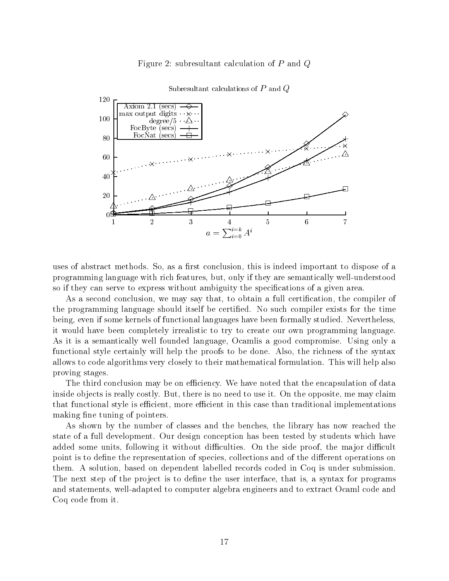### Figure 2: subresultant calculation of  $P$  and  $Q$



### Subresultant calculations of  $P$  and  $Q$

uses of abstract methods So as a -rst conclusion this is indeed important to dispose of a programming language with rich features but only if they are semantically well
understood so if they can see the serve the serves with an analyzer, the specifications of a given and the specific

As a second conclusion we may say that to obtain a full certi-cation the compiler of the programming itself be compiled itself be compiled its form of the time time  $\alpha$  and the time  $\alpha$ being, even if some kernels of functional languages have been formally studied. Nevertheless, it would have been completely irrealistic to try to create our own programming language As it is a semantically well founded language, Ocamlis a good compromise. Using only a functional style certainly will help the proofs to be done. Also, the richness of the syntax allows to code algorithms very closely to their mathematical formulation. This will help also proving stages

The third conclusion may be on efficiency. We have noted that the encapsulation of data inside objects is really costly. But, there is no need to use it. On the opposite, me may claim that functional style is efficient, more efficient in this case than traditional implementations making -ne tuning of pointers

As shown by the number of classes and the benches, the library has now reached the state of a full development. Our design conception has been tested by students which have added some units, following it without difficulties. On the side proof, the major difficult point is to de-ne the representation of species collections and of the dierent operations on them. A solution, based on dependent labelled records coded in Coq is under submission. The next step of the pro ject is to de-ne the user interface that is a syntax for programs and statements, well-adapted to computer algebra engineers and to extract Ocaml code and Coq code from it